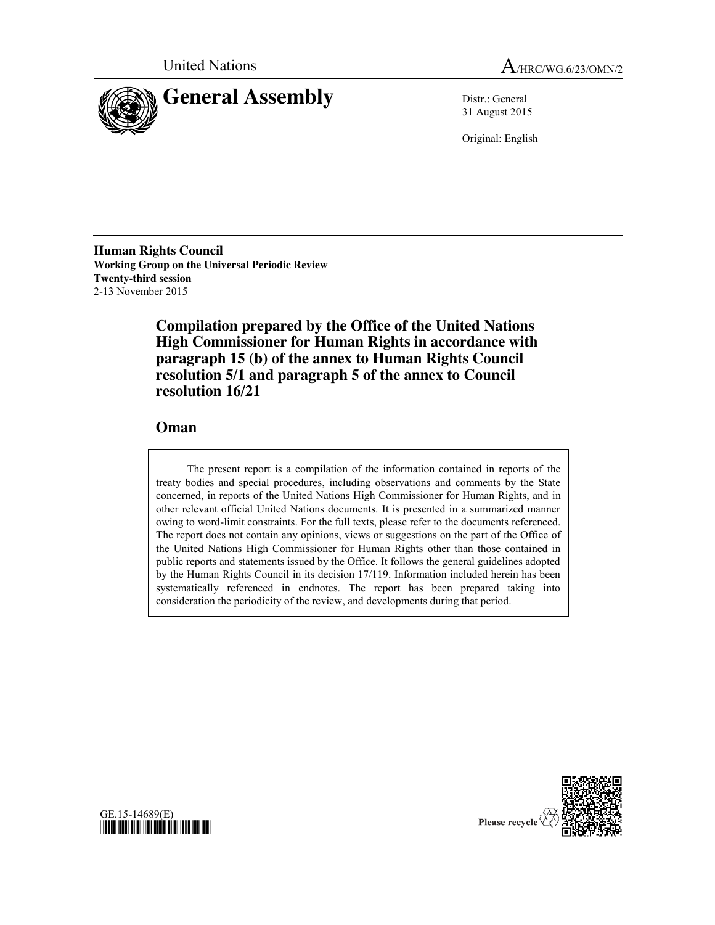



31 August 2015

Original: English

**Human Rights Council Working Group on the Universal Periodic Review Twenty-third session** 2-13 November 2015

> **Compilation prepared by the Office of the United Nations High Commissioner for Human Rights in accordance with paragraph 15 (b) of the annex to Human Rights Council resolution 5/1 and paragraph 5 of the annex to Council resolution 16/21**

### **Oman**

The present report is a compilation of the information contained in reports of the treaty bodies and special procedures, including observations and comments by the State concerned, in reports of the United Nations High Commissioner for Human Rights, and in other relevant official United Nations documents. It is presented in a summarized manner owing to word-limit constraints. For the full texts, please refer to the documents referenced. The report does not contain any opinions, views or suggestions on the part of the Office of the United Nations High Commissioner for Human Rights other than those contained in public reports and statements issued by the Office. It follows the general guidelines adopted by the Human Rights Council in its decision 17/119. Information included herein has been systematically referenced in endnotes. The report has been prepared taking into consideration the periodicity of the review, and developments during that period.



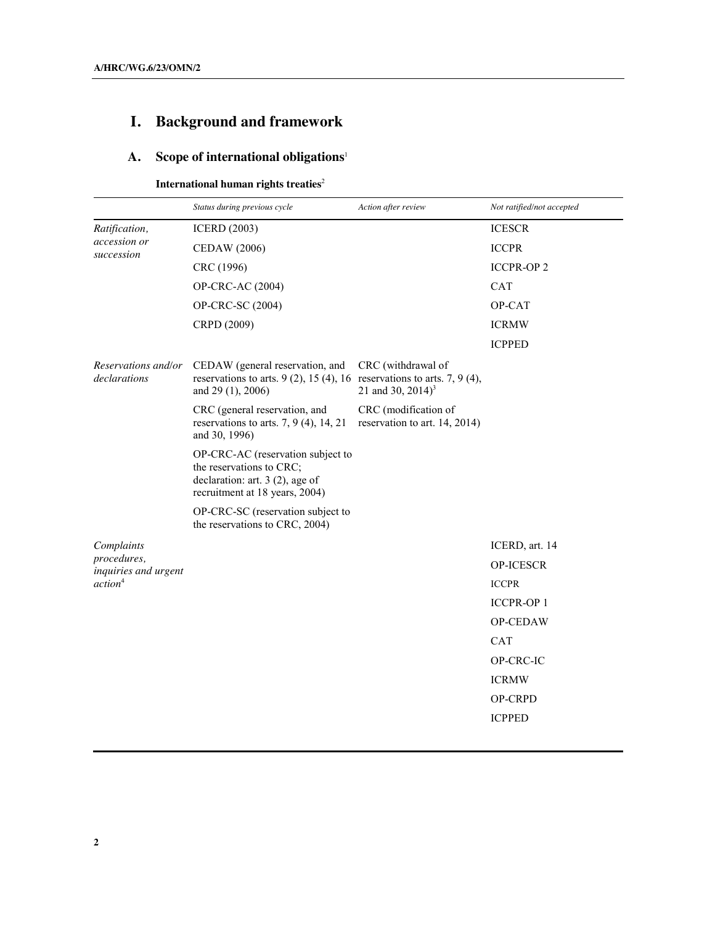# **I. Background and framework**

# **A. Scope of international obligations**<sup>1</sup>

### **International human rights treaties**<sup>2</sup>

|                                             | Status during previous cycle                                                                                                         | Action after review                                   | Not ratified/not accepted |
|---------------------------------------------|--------------------------------------------------------------------------------------------------------------------------------------|-------------------------------------------------------|---------------------------|
| Ratification,<br>accession or<br>succession | <b>ICERD</b> (2003)                                                                                                                  |                                                       | <b>ICESCR</b>             |
|                                             | <b>CEDAW</b> (2006)                                                                                                                  |                                                       | <b>ICCPR</b>              |
|                                             | CRC (1996)                                                                                                                           |                                                       | <b>ICCPR-OP2</b>          |
|                                             | OP-CRC-AC (2004)                                                                                                                     |                                                       | <b>CAT</b>                |
|                                             | OP-CRC-SC (2004)                                                                                                                     |                                                       | OP-CAT                    |
|                                             | CRPD (2009)                                                                                                                          |                                                       | <b>ICRMW</b>              |
|                                             |                                                                                                                                      |                                                       | <b>ICPPED</b>             |
| Reservations and/or<br>declarations         | CEDAW (general reservation, and<br>reservations to arts. $9(2)$ , 15(4), 16 reservations to arts. 7, 9(4),<br>and 29 (1), 2006)      | CRC (withdrawal of<br>21 and 30, 2014) <sup>3</sup>   |                           |
|                                             | CRC (general reservation, and<br>reservations to arts. $7, 9$ (4), 14, 21<br>and 30, 1996)                                           | CRC (modification of<br>reservation to art. 14, 2014) |                           |
|                                             | OP-CRC-AC (reservation subject to<br>the reservations to CRC;<br>declaration: art. $3(2)$ , age of<br>recruitment at 18 years, 2004) |                                                       |                           |
|                                             | OP-CRC-SC (reservation subject to<br>the reservations to CRC, 2004)                                                                  |                                                       |                           |
| Complaints                                  |                                                                                                                                      |                                                       | ICERD, art. 14            |
| procedures,<br>inquiries and urgent         |                                                                                                                                      |                                                       | <b>OP-ICESCR</b>          |
| action <sup>4</sup>                         |                                                                                                                                      |                                                       | <b>ICCPR</b>              |
|                                             |                                                                                                                                      |                                                       | <b>ICCPR-OP1</b>          |
|                                             |                                                                                                                                      |                                                       | OP-CEDAW                  |
|                                             |                                                                                                                                      |                                                       | <b>CAT</b>                |
|                                             |                                                                                                                                      |                                                       | OP-CRC-IC                 |
|                                             |                                                                                                                                      |                                                       | <b>ICRMW</b>              |
|                                             |                                                                                                                                      |                                                       | <b>OP-CRPD</b>            |
|                                             |                                                                                                                                      |                                                       | <b>ICPPED</b>             |
|                                             |                                                                                                                                      |                                                       |                           |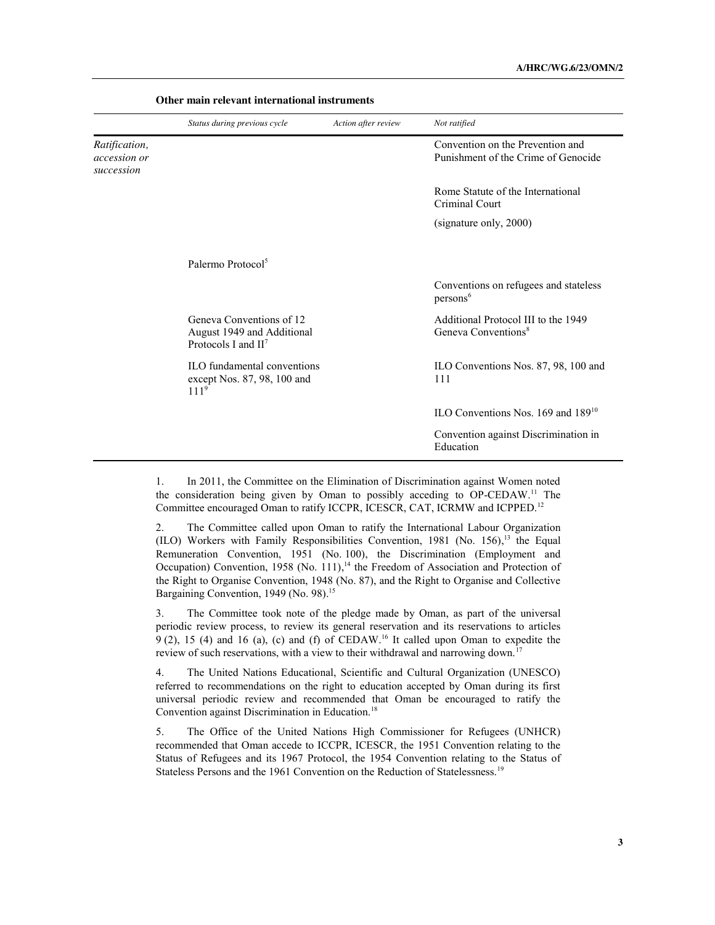|                                             | Status during previous cycle                                                     | Action after review | Not ratified                                                            |
|---------------------------------------------|----------------------------------------------------------------------------------|---------------------|-------------------------------------------------------------------------|
| Ratification,<br>accession or<br>succession |                                                                                  |                     | Convention on the Prevention and<br>Punishment of the Crime of Genocide |
|                                             |                                                                                  |                     | Rome Statute of the International<br>Criminal Court                     |
|                                             |                                                                                  |                     | (signature only, 2000)                                                  |
|                                             | Palermo Protocol <sup>5</sup>                                                    |                     |                                                                         |
|                                             |                                                                                  |                     | Conventions on refugees and stateless<br>persons <sup>6</sup>           |
|                                             | Geneva Conventions of 12<br>August 1949 and Additional<br>Protocols I and $II^7$ |                     | Additional Protocol III to the 1949<br>Geneva Conventions <sup>8</sup>  |
|                                             | ILO fundamental conventions<br>except Nos. 87, 98, 100 and<br>111 <sup>9</sup>   |                     | ILO Conventions Nos. 87, 98, 100 and<br>111                             |
|                                             |                                                                                  |                     | ILO Conventions Nos. 169 and 189 <sup>10</sup>                          |
|                                             |                                                                                  |                     | Convention against Discrimination in<br>Education                       |

**Other main relevant international instruments**

1. In 2011, the Committee on the Elimination of Discrimination against Women noted the consideration being given by Oman to possibly acceding to OP-CEDAW.11 The Committee encouraged Oman to ratify ICCPR, ICESCR, CAT, ICRMW and ICPPED.12

2. The Committee called upon Oman to ratify the International Labour Organization (ILO) Workers with Family Responsibilities Convention, 1981 (No. 156), <sup>13</sup> the Equal Remuneration Convention, 1951 (No. 100), the Discrimination (Employment and Occupation) Convention, 1958 (No. 111),<sup>14</sup> the Freedom of Association and Protection of the Right to Organise Convention, 1948 (No. 87), and the Right to Organise and Collective Bargaining Convention, 1949 (No. 98).<sup>15</sup>

3. The Committee took note of the pledge made by Oman, as part of the universal periodic review process, to review its general reservation and its reservations to articles  $9(2)$ , 15 (4) and 16 (a), (c) and (f) of CEDAW.<sup>16</sup> It called upon Oman to expedite the review of such reservations, with a view to their withdrawal and narrowing down.<sup>17</sup>

4. The United Nations Educational, Scientific and Cultural Organization (UNESCO) referred to recommendations on the right to education accepted by Oman during its first universal periodic review and recommended that Oman be encouraged to ratify the Convention against Discrimination in Education.<sup>18</sup>

5. The Office of the United Nations High Commissioner for Refugees (UNHCR) recommended that Oman accede to ICCPR, ICESCR, the 1951 Convention relating to the Status of Refugees and its 1967 Protocol, the 1954 Convention relating to the Status of Stateless Persons and the 1961 Convention on the Reduction of Statelessness.<sup>19</sup>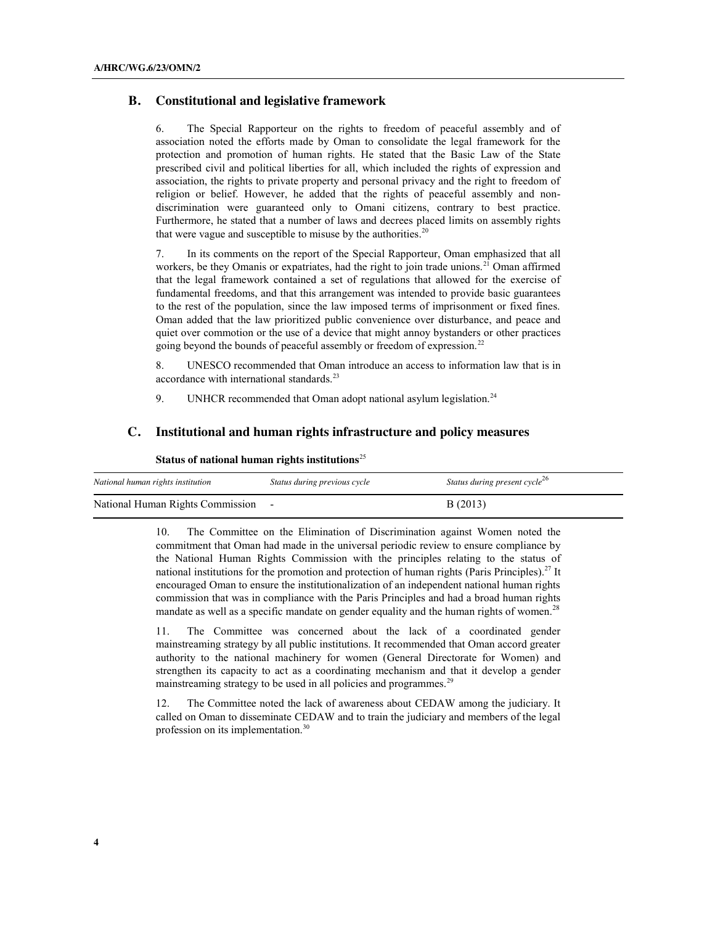### **B. Constitutional and legislative framework**

6. The Special Rapporteur on the rights to freedom of peaceful assembly and of association noted the efforts made by Oman to consolidate the legal framework for the protection and promotion of human rights. He stated that the Basic Law of the State prescribed civil and political liberties for all, which included the rights of expression and association, the rights to private property and personal privacy and the right to freedom of religion or belief. However, he added that the rights of peaceful assembly and nondiscrimination were guaranteed only to Omani citizens, contrary to best practice. Furthermore, he stated that a number of laws and decrees placed limits on assembly rights that were vague and susceptible to misuse by the authorities.<sup>20</sup>

7. In its comments on the report of the Special Rapporteur, Oman emphasized that all workers, be they Omanis or expatriates, had the right to join trade unions.<sup>21</sup> Oman affirmed that the legal framework contained a set of regulations that allowed for the exercise of fundamental freedoms, and that this arrangement was intended to provide basic guarantees to the rest of the population, since the law imposed terms of imprisonment or fixed fines. Oman added that the law prioritized public convenience over disturbance, and peace and quiet over commotion or the use of a device that might annoy bystanders or other practices going beyond the bounds of peaceful assembly or freedom of expression.<sup>22</sup>

8. UNESCO recommended that Oman introduce an access to information law that is in accordance with international standards.<sup>23</sup>

9. UNHCR recommended that Oman adopt national asylum legislation.<sup>24</sup>

#### **C. Institutional and human rights infrastructure and policy measures**

| National human rights institution  | Status during previous cycle | Status during present cycle <sup>26</sup> |
|------------------------------------|------------------------------|-------------------------------------------|
| National Human Rights Commission - |                              | B(2013)                                   |

**Status of national human rights institutions**<sup>25</sup>

10. The Committee on the Elimination of Discrimination against Women noted the commitment that Oman had made in the universal periodic review to ensure compliance by the National Human Rights Commission with the principles relating to the status of national institutions for the promotion and protection of human rights (Paris Principles).<sup>27</sup> It encouraged Oman to ensure the institutionalization of an independent national human rights commission that was in compliance with the Paris Principles and had a broad human rights mandate as well as a specific mandate on gender equality and the human rights of women.<sup>28</sup>

11. The Committee was concerned about the lack of a coordinated gender mainstreaming strategy by all public institutions. It recommended that Oman accord greater authority to the national machinery for women (General Directorate for Women) and strengthen its capacity to act as a coordinating mechanism and that it develop a gender mainstreaming strategy to be used in all policies and programmes.<sup>29</sup>

12. The Committee noted the lack of awareness about CEDAW among the judiciary. It called on Oman to disseminate CEDAW and to train the judiciary and members of the legal profession on its implementation.30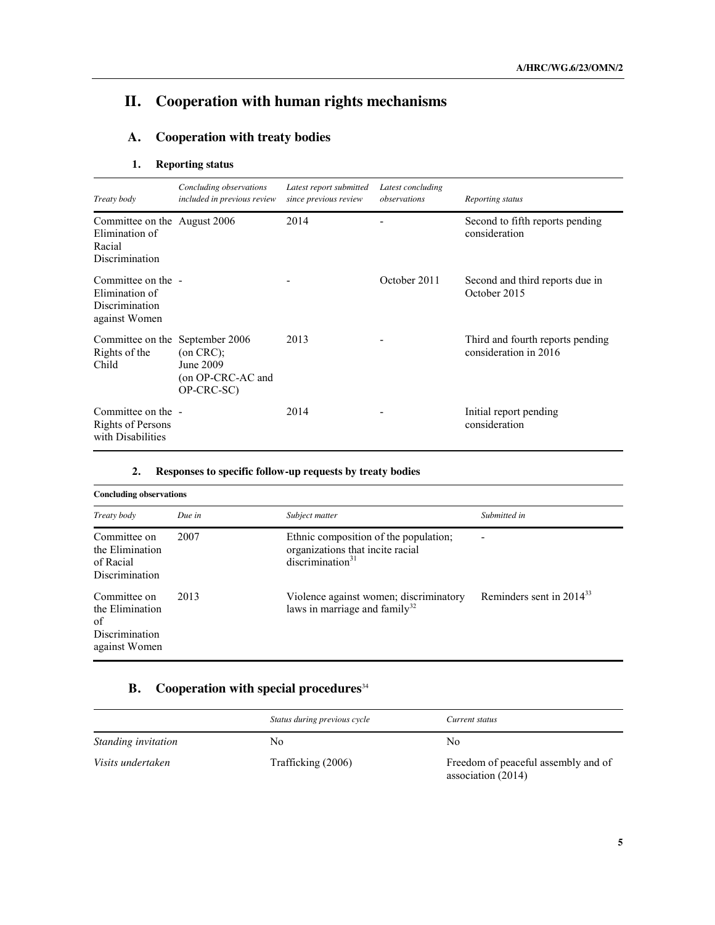# **II. Cooperation with human rights mechanisms**

## **A. Cooperation with treaty bodies**

### **1. Reporting status**

| Treaty body                                                                       | Concluding observations<br>included in previous review           | Latest report submitted<br>since previous review | Latest concluding<br>observations | Reporting status                                          |
|-----------------------------------------------------------------------------------|------------------------------------------------------------------|--------------------------------------------------|-----------------------------------|-----------------------------------------------------------|
| Committee on the August 2006<br>Elimination of<br>Racial<br><b>Discrimination</b> |                                                                  | 2014                                             |                                   | Second to fifth reports pending<br>consideration          |
| Committee on the -<br>Elimination of<br>Discrimination<br>against Women           |                                                                  |                                                  | October 2011                      | Second and third reports due in<br>October 2015           |
| Committee on the September 2006<br>Rights of the<br>Child                         | $($ on CRC $)$ ;<br>June 2009<br>(on OP-CRC-AC and<br>OP-CRC-SC) | 2013                                             |                                   | Third and fourth reports pending<br>consideration in 2016 |
| Committee on the -<br>Rights of Persons<br>with Disabilities                      |                                                                  | 2014                                             |                                   | Initial report pending<br>consideration                   |

| z. | Responses to specific follow-up requests by treaty bodies |  |  |  |
|----|-----------------------------------------------------------|--|--|--|
|    |                                                           |  |  |  |

| <b>Concluding observations</b>                                           |        |                                                                                                           |                               |  |
|--------------------------------------------------------------------------|--------|-----------------------------------------------------------------------------------------------------------|-------------------------------|--|
| Treaty body                                                              | Due in | Subject matter                                                                                            | Submitted in                  |  |
| Committee on<br>the Elimination<br>of Racial<br>Discrimination           | 2007   | Ethnic composition of the population;<br>organizations that incite racial<br>discrimination <sup>31</sup> |                               |  |
| Committee on<br>the Elimination<br>of<br>Discrimination<br>against Women | 2013   | Violence against women; discriminatory<br>laws in marriage and family $32$                                | Reminders sent in $2014^{33}$ |  |

## **B. Cooperation with special procedures**<sup>34</sup>

|                     | Status during previous cycle | Current status                                            |
|---------------------|------------------------------|-----------------------------------------------------------|
| Standing invitation | No                           | No                                                        |
| Visits undertaken   | Trafficking (2006)           | Freedom of peaceful assembly and of<br>association (2014) |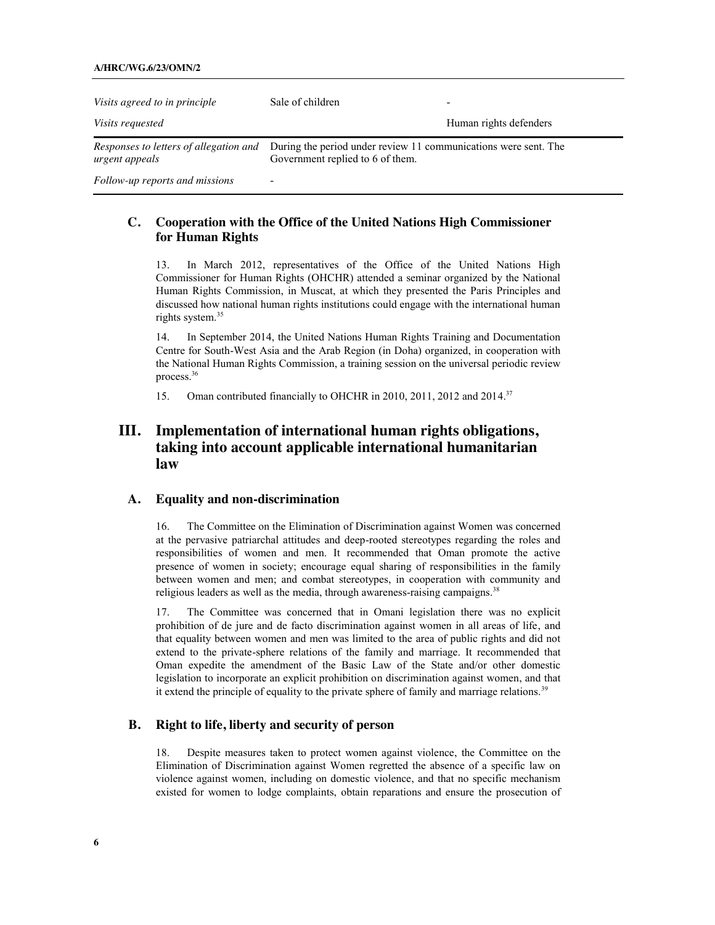#### **A/HRC/WG.6/23/OMN/2**

| Visits agreed to in principle  | Sale of children                                                                                                                                  | -                      |
|--------------------------------|---------------------------------------------------------------------------------------------------------------------------------------------------|------------------------|
| <i>Visits requested</i>        |                                                                                                                                                   | Human rights defenders |
| urgent appeals                 | <i>Responses to letters of allegation and</i> During the period under review 11 communications were sent. The<br>Government replied to 6 of them. |                        |
| Follow-up reports and missions | -                                                                                                                                                 |                        |

### **C. Cooperation with the Office of the United Nations High Commissioner for Human Rights**

13. In March 2012, representatives of the Office of the United Nations High Commissioner for Human Rights (OHCHR) attended a seminar organized by the National Human Rights Commission, in Muscat, at which they presented the Paris Principles and discussed how national human rights institutions could engage with the international human rights system.<sup>35</sup>

14. In September 2014, the United Nations Human Rights Training and Documentation Centre for South-West Asia and the Arab Region (in Doha) organized, in cooperation with the National Human Rights Commission, a training session on the universal periodic review process.36

15. Oman contributed financially to OHCHR in 2010, 2011, 2012 and 2014.<sup>37</sup>

### **III. Implementation of international human rights obligations, taking into account applicable international humanitarian law**

### **A. Equality and non-discrimination**

16. The Committee on the Elimination of Discrimination against Women was concerned at the pervasive patriarchal attitudes and deep-rooted stereotypes regarding the roles and responsibilities of women and men. It recommended that Oman promote the active presence of women in society; encourage equal sharing of responsibilities in the family between women and men; and combat stereotypes, in cooperation with community and religious leaders as well as the media, through awareness-raising campaigns.<sup>38</sup>

17. The Committee was concerned that in Omani legislation there was no explicit prohibition of de jure and de facto discrimination against women in all areas of life, and that equality between women and men was limited to the area of public rights and did not extend to the private-sphere relations of the family and marriage. It recommended that Oman expedite the amendment of the Basic Law of the State and/or other domestic legislation to incorporate an explicit prohibition on discrimination against women, and that it extend the principle of equality to the private sphere of family and marriage relations.<sup>39</sup>

### **B. Right to life, liberty and security of person**

18. Despite measures taken to protect women against violence, the Committee on the Elimination of Discrimination against Women regretted the absence of a specific law on violence against women, including on domestic violence, and that no specific mechanism existed for women to lodge complaints, obtain reparations and ensure the prosecution of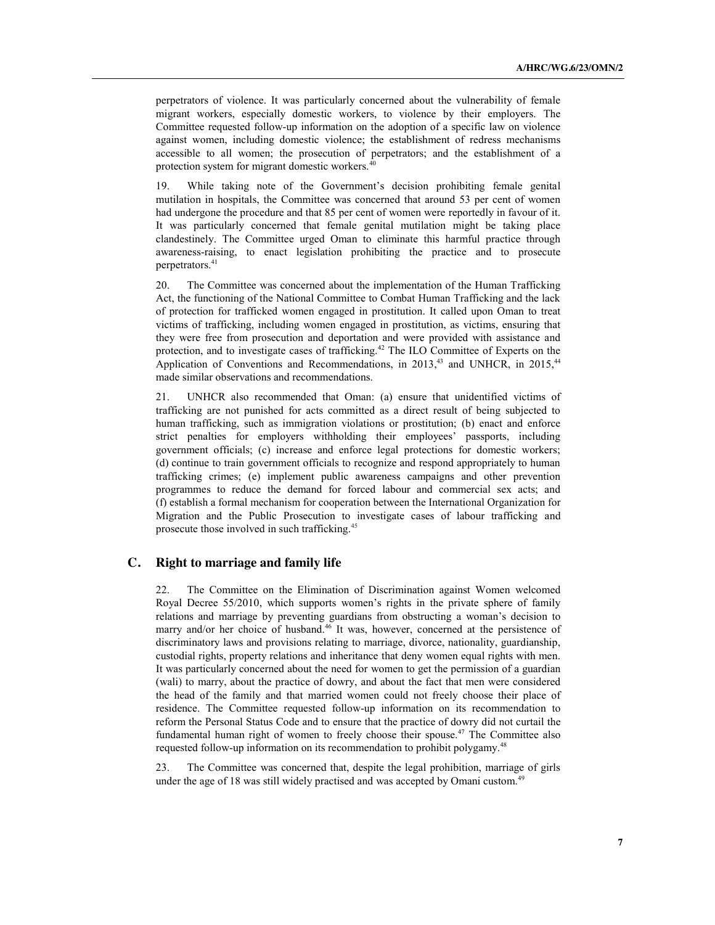perpetrators of violence. It was particularly concerned about the vulnerability of female migrant workers, especially domestic workers, to violence by their employers. The Committee requested follow-up information on the adoption of a specific law on violence against women, including domestic violence; the establishment of redress mechanisms accessible to all women; the prosecution of perpetrators; and the establishment of a protection system for migrant domestic workers. $40$ 

19. While taking note of the Government's decision prohibiting female genital mutilation in hospitals, the Committee was concerned that around 53 per cent of women had undergone the procedure and that 85 per cent of women were reportedly in favour of it. It was particularly concerned that female genital mutilation might be taking place clandestinely. The Committee urged Oman to eliminate this harmful practice through awareness-raising, to enact legislation prohibiting the practice and to prosecute perpetrators.<sup>41</sup>

20. The Committee was concerned about the implementation of the Human Trafficking Act, the functioning of the National Committee to Combat Human Trafficking and the lack of protection for trafficked women engaged in prostitution. It called upon Oman to treat victims of trafficking, including women engaged in prostitution, as victims, ensuring that they were free from prosecution and deportation and were provided with assistance and protection, and to investigate cases of trafficking.42 The ILO Committee of Experts on the Application of Conventions and Recommendations, in 2013,<sup>43</sup> and UNHCR, in 2015,<sup>44</sup> made similar observations and recommendations.

21. UNHCR also recommended that Oman: (a) ensure that unidentified victims of trafficking are not punished for acts committed as a direct result of being subjected to human trafficking, such as immigration violations or prostitution; (b) enact and enforce strict penalties for employers withholding their employees' passports, including government officials; (c) increase and enforce legal protections for domestic workers; (d) continue to train government officials to recognize and respond appropriately to human trafficking crimes; (e) implement public awareness campaigns and other prevention programmes to reduce the demand for forced labour and commercial sex acts; and (f) establish a formal mechanism for cooperation between the International Organization for Migration and the Public Prosecution to investigate cases of labour trafficking and prosecute those involved in such trafficking.<sup>45</sup>

### **C. Right to marriage and family life**

22. The Committee on the Elimination of Discrimination against Women welcomed Royal Decree 55/2010, which supports women's rights in the private sphere of family relations and marriage by preventing guardians from obstructing a woman's decision to marry and/or her choice of husband.<sup>46</sup> It was, however, concerned at the persistence of discriminatory laws and provisions relating to marriage, divorce, nationality, guardianship, custodial rights, property relations and inheritance that deny women equal rights with men. It was particularly concerned about the need for women to get the permission of a guardian (wali) to marry, about the practice of dowry, and about the fact that men were considered the head of the family and that married women could not freely choose their place of residence. The Committee requested follow-up information on its recommendation to reform the Personal Status Code and to ensure that the practice of dowry did not curtail the fundamental human right of women to freely choose their spouse.<sup>47</sup> The Committee also requested follow-up information on its recommendation to prohibit polygamy.<sup>48</sup>

23. The Committee was concerned that, despite the legal prohibition, marriage of girls under the age of 18 was still widely practised and was accepted by Omani custom.<sup>49</sup>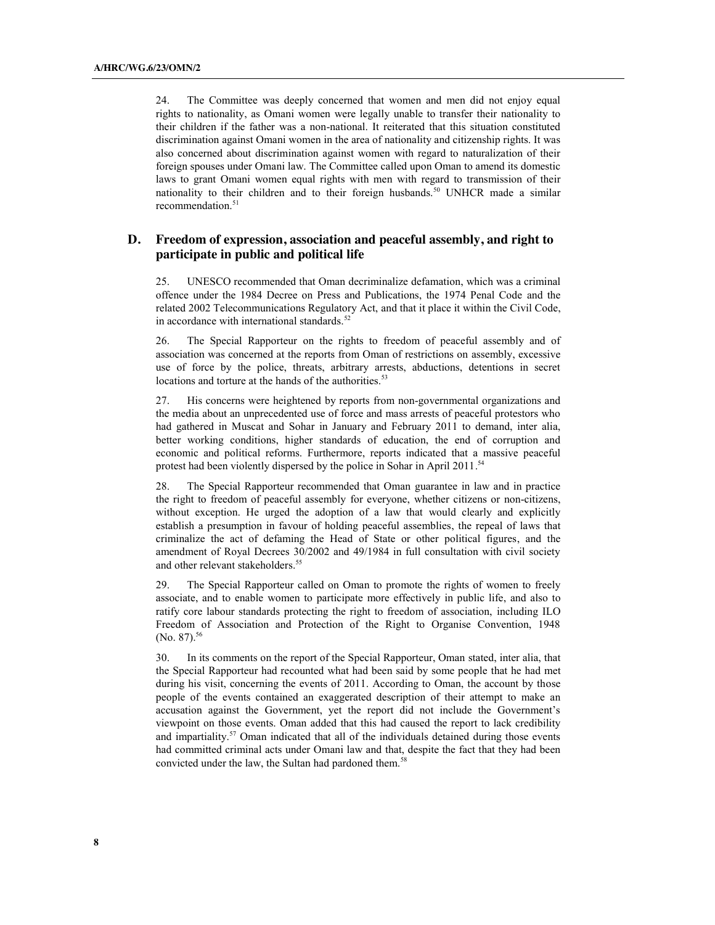24. The Committee was deeply concerned that women and men did not enjoy equal rights to nationality, as Omani women were legally unable to transfer their nationality to their children if the father was a non-national. It reiterated that this situation constituted discrimination against Omani women in the area of nationality and citizenship rights. It was also concerned about discrimination against women with regard to naturalization of their foreign spouses under Omani law. The Committee called upon Oman to amend its domestic laws to grant Omani women equal rights with men with regard to transmission of their nationality to their children and to their foreign husbands.<sup>50</sup> UNHCR made a similar recommendation.<sup>51</sup>

### **D. Freedom of expression, association and peaceful assembly, and right to participate in public and political life**

25. UNESCO recommended that Oman decriminalize defamation, which was a criminal offence under the 1984 Decree on Press and Publications, the 1974 Penal Code and the related 2002 Telecommunications Regulatory Act, and that it place it within the Civil Code, in accordance with international standards.<sup>52</sup>

26. The Special Rapporteur on the rights to freedom of peaceful assembly and of association was concerned at the reports from Oman of restrictions on assembly, excessive use of force by the police, threats, arbitrary arrests, abductions, detentions in secret locations and torture at the hands of the authorities.<sup>53</sup>

27. His concerns were heightened by reports from non-governmental organizations and the media about an unprecedented use of force and mass arrests of peaceful protestors who had gathered in Muscat and Sohar in January and February 2011 to demand, inter alia, better working conditions, higher standards of education, the end of corruption and economic and political reforms. Furthermore, reports indicated that a massive peaceful protest had been violently dispersed by the police in Sohar in April 2011.<sup>54</sup>

28. The Special Rapporteur recommended that Oman guarantee in law and in practice the right to freedom of peaceful assembly for everyone, whether citizens or non-citizens, without exception. He urged the adoption of a law that would clearly and explicitly establish a presumption in favour of holding peaceful assemblies, the repeal of laws that criminalize the act of defaming the Head of State or other political figures, and the amendment of Royal Decrees 30/2002 and 49/1984 in full consultation with civil society and other relevant stakeholders. 55

29. The Special Rapporteur called on Oman to promote the rights of women to freely associate, and to enable women to participate more effectively in public life, and also to ratify core labour standards protecting the right to freedom of association, including ILO Freedom of Association and Protection of the Right to Organise Convention, 1948 (No. 87). 56

30. In its comments on the report of the Special Rapporteur, Oman stated, inter alia, that the Special Rapporteur had recounted what had been said by some people that he had met during his visit, concerning the events of 2011. According to Oman, the account by those people of the events contained an exaggerated description of their attempt to make an accusation against the Government, yet the report did not include the Government's viewpoint on those events. Oman added that this had caused the report to lack credibility and impartiality.<sup>57</sup> Oman indicated that all of the individuals detained during those events had committed criminal acts under Omani law and that, despite the fact that they had been convicted under the law, the Sultan had pardoned them.<sup>58</sup>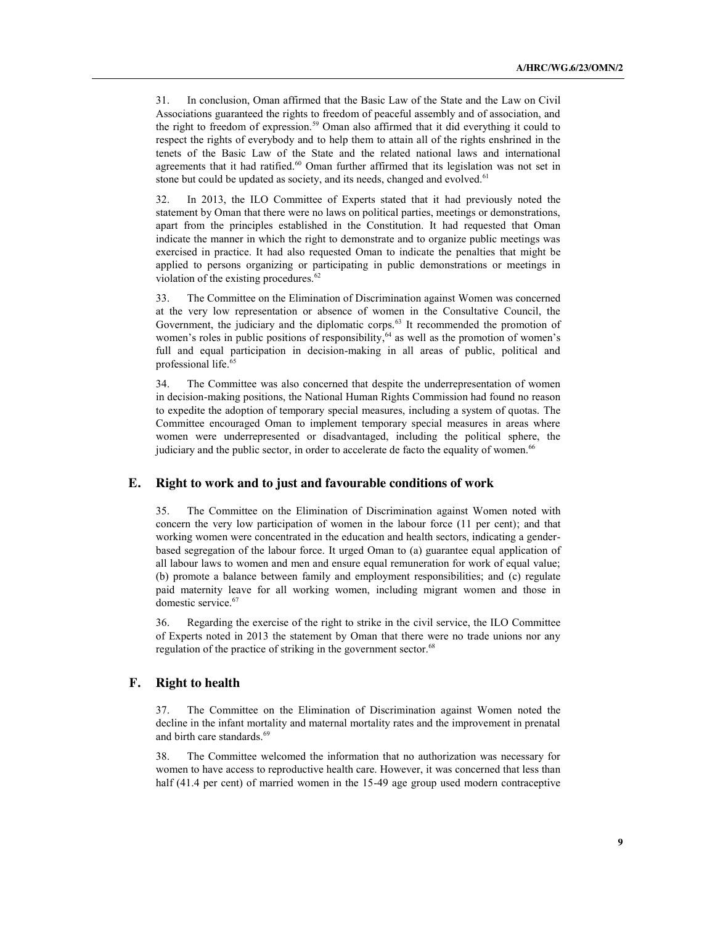31. In conclusion, Oman affirmed that the Basic Law of the State and the Law on Civil Associations guaranteed the rights to freedom of peaceful assembly and of association, and the right to freedom of expression.59 Oman also affirmed that it did everything it could to respect the rights of everybody and to help them to attain all of the rights enshrined in the tenets of the Basic Law of the State and the related national laws and international agreements that it had ratified.<sup>60</sup> Oman further affirmed that its legislation was not set in stone but could be updated as society, and its needs, changed and evolved.<sup>61</sup>

32. In 2013, the ILO Committee of Experts stated that it had previously noted the statement by Oman that there were no laws on political parties, meetings or demonstrations, apart from the principles established in the Constitution. It had requested that Oman indicate the manner in which the right to demonstrate and to organize public meetings was exercised in practice. It had also requested Oman to indicate the penalties that might be applied to persons organizing or participating in public demonstrations or meetings in violation of the existing procedures.<sup>62</sup>

33. The Committee on the Elimination of Discrimination against Women was concerned at the very low representation or absence of women in the Consultative Council, the Government, the judiciary and the diplomatic corps.<sup>63</sup> It recommended the promotion of women's roles in public positions of responsibility,<sup>64</sup> as well as the promotion of women's full and equal participation in decision-making in all areas of public, political and professional life.<sup>65</sup>

34. The Committee was also concerned that despite the underrepresentation of women in decision-making positions, the National Human Rights Commission had found no reason to expedite the adoption of temporary special measures, including a system of quotas. The Committee encouraged Oman to implement temporary special measures in areas where women were underrepresented or disadvantaged, including the political sphere, the judiciary and the public sector, in order to accelerate de facto the equality of women.<sup>66</sup>

### **E. Right to work and to just and favourable conditions of work**

35. The Committee on the Elimination of Discrimination against Women noted with concern the very low participation of women in the labour force (11 per cent); and that working women were concentrated in the education and health sectors, indicating a genderbased segregation of the labour force. It urged Oman to (a) guarantee equal application of all labour laws to women and men and ensure equal remuneration for work of equal value; (b) promote a balance between family and employment responsibilities; and (c) regulate paid maternity leave for all working women, including migrant women and those in domestic service.<sup>67</sup>

36. Regarding the exercise of the right to strike in the civil service, the ILO Committee of Experts noted in 2013 the statement by Oman that there were no trade unions nor any regulation of the practice of striking in the government sector.<sup>68</sup>

### **F. Right to health**

37. The Committee on the Elimination of Discrimination against Women noted the decline in the infant mortality and maternal mortality rates and the improvement in prenatal and birth care standards.<sup>69</sup>

38. The Committee welcomed the information that no authorization was necessary for women to have access to reproductive health care. However, it was concerned that less than half (41.4 per cent) of married women in the 15-49 age group used modern contraceptive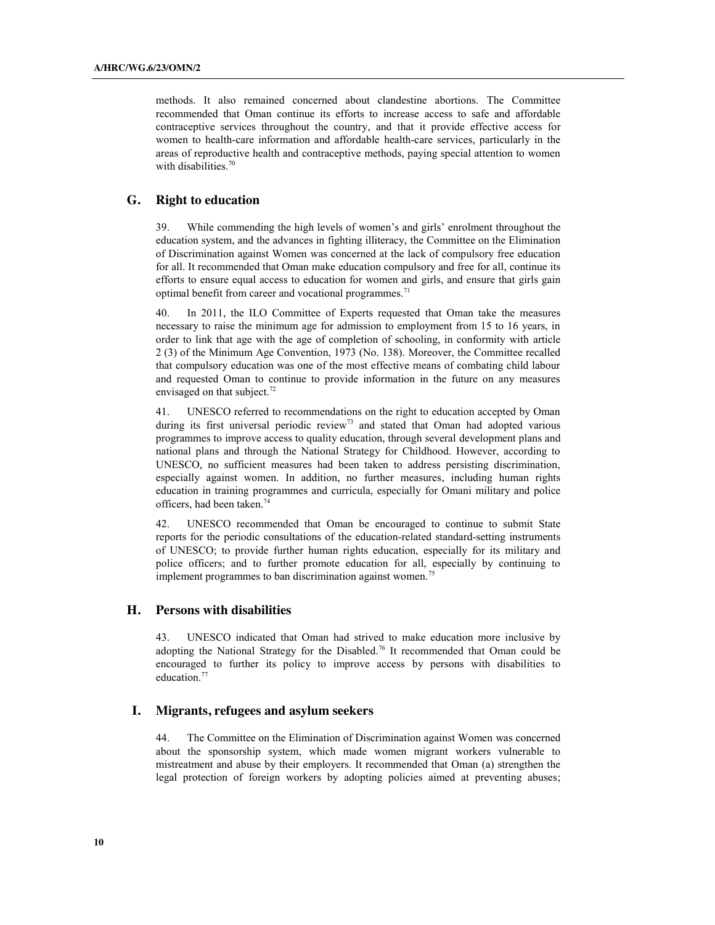methods. It also remained concerned about clandestine abortions. The Committee recommended that Oman continue its efforts to increase access to safe and affordable contraceptive services throughout the country, and that it provide effective access for women to health-care information and affordable health-care services, particularly in the areas of reproductive health and contraceptive methods, paying special attention to women with disabilities.<sup>70</sup>

### **G. Right to education**

39. While commending the high levels of women's and girls' enrolment throughout the education system, and the advances in fighting illiteracy, the Committee on the Elimination of Discrimination against Women was concerned at the lack of compulsory free education for all. It recommended that Oman make education compulsory and free for all, continue its efforts to ensure equal access to education for women and girls, and ensure that girls gain optimal benefit from career and vocational programmes.<sup>71</sup>

40. In 2011, the ILO Committee of Experts requested that Oman take the measures necessary to raise the minimum age for admission to employment from 15 to 16 years, in order to link that age with the age of completion of schooling, in conformity with article 2 (3) of the Minimum Age Convention, 1973 (No. 138). Moreover, the Committee recalled that compulsory education was one of the most effective means of combating child labour and requested Oman to continue to provide information in the future on any measures envisaged on that subject.<sup>72</sup>

41. UNESCO referred to recommendations on the right to education accepted by Oman during its first universal periodic review<sup>73</sup> and stated that Oman had adopted various programmes to improve access to quality education, through several development plans and national plans and through the National Strategy for Childhood. However, according to UNESCO, no sufficient measures had been taken to address persisting discrimination, especially against women. In addition, no further measures, including human rights education in training programmes and curricula, especially for Omani military and police officers, had been taken.74

42. UNESCO recommended that Oman be encouraged to continue to submit State reports for the periodic consultations of the education-related standard-setting instruments of UNESCO; to provide further human rights education, especially for its military and police officers; and to further promote education for all, especially by continuing to implement programmes to ban discrimination against women.<sup>75</sup>

### **H. Persons with disabilities**

43. UNESCO indicated that Oman had strived to make education more inclusive by adopting the National Strategy for the Disabled.<sup>76</sup> It recommended that Oman could be encouraged to further its policy to improve access by persons with disabilities to education.<sup>77</sup>

### **I. Migrants, refugees and asylum seekers**

44. The Committee on the Elimination of Discrimination against Women was concerned about the sponsorship system, which made women migrant workers vulnerable to mistreatment and abuse by their employers. It recommended that Oman (a) strengthen the legal protection of foreign workers by adopting policies aimed at preventing abuses;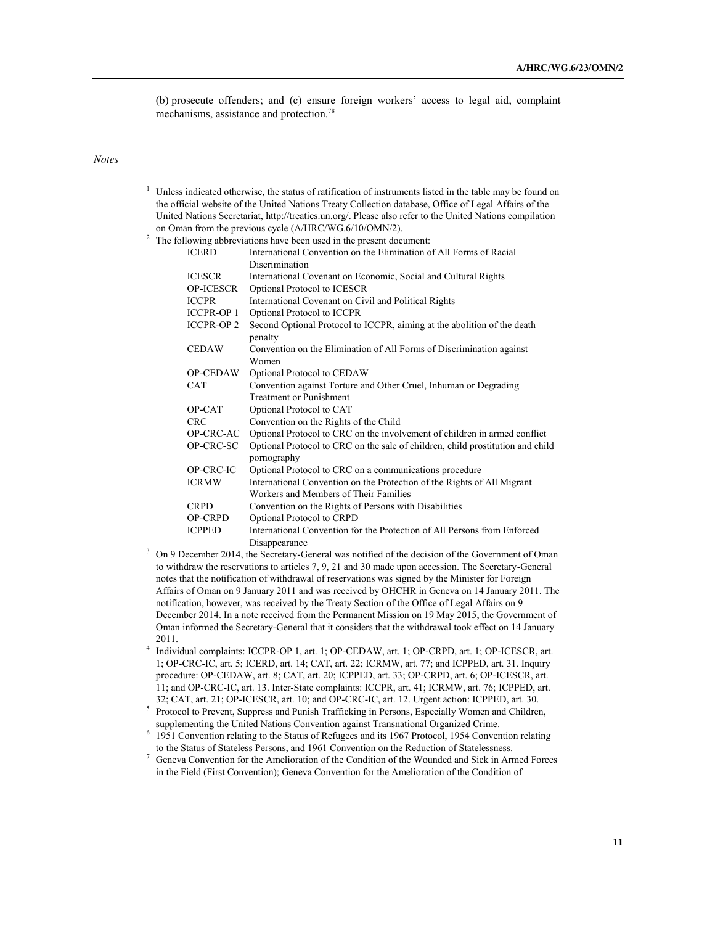(b) prosecute offenders; and (c) ensure foreign workers' access to legal aid, complaint mechanisms, assistance and protection.<sup>78</sup>

#### *Notes*

- $1$  Unless indicated otherwise, the status of ratification of instruments listed in the table may be found on the official website of the United Nations Treaty Collection database, Office of Legal Affairs of the United Nations Secretariat, http://treaties.un.org/. Please also refer to the United Nations compilation on Oman from the previous cycle (A/HRC/WG.6/10/OMN/2).
- <sup>2</sup> The following abbreviations have been used in the present document:

| <b>ICERD</b>      | International Convention on the Elimination of All Forms of Racial                            |
|-------------------|-----------------------------------------------------------------------------------------------|
|                   | Discrimination                                                                                |
| <b>ICESCR</b>     | International Covenant on Economic, Social and Cultural Rights                                |
| <b>OP-ICESCR</b>  | Optional Protocol to ICESCR                                                                   |
| <b>ICCPR</b>      | International Covenant on Civil and Political Rights                                          |
| <b>ICCPR-OP 1</b> | Optional Protocol to ICCPR                                                                    |
| <b>ICCPR-OP 2</b> | Second Optional Protocol to ICCPR, aiming at the abolition of the death<br>penalty            |
| <b>CEDAW</b>      | Convention on the Elimination of All Forms of Discrimination against<br>Women                 |
| <b>OP-CEDAW</b>   | Optional Protocol to CEDAW                                                                    |
| <b>CAT</b>        | Convention against Torture and Other Cruel, Inhuman or Degrading                              |
|                   | <b>Treatment or Punishment</b>                                                                |
| OP-CAT            | Optional Protocol to CAT                                                                      |
| <b>CRC</b>        | Convention on the Rights of the Child                                                         |
| OP-CRC-AC         | Optional Protocol to CRC on the involvement of children in armed conflict                     |
| OP-CRC-SC         | Optional Protocol to CRC on the sale of children, child prostitution and child<br>pornography |
| OP-CRC-IC         | Optional Protocol to CRC on a communications procedure                                        |
| <b>ICRMW</b>      | International Convention on the Protection of the Rights of All Migrant                       |
|                   | Workers and Members of Their Families                                                         |
| <b>CRPD</b>       | Convention on the Rights of Persons with Disabilities                                         |
| OP-CRPD           | Optional Protocol to CRPD                                                                     |
| <b>ICPPED</b>     | International Convention for the Protection of All Persons from Enforced                      |
|                   | Disappearance                                                                                 |

- <sup>3</sup> On 9 December 2014, the Secretary-General was notified of the decision of the Government of Oman to withdraw the reservations to articles 7, 9, 21 and 30 made upon accession. The Secretary-General notes that the notification of withdrawal of reservations was signed by the Minister for Foreign Affairs of Oman on 9 January 2011 and was received by OHCHR in Geneva on 14 January 2011. The notification, however, was received by the Treaty Section of the Office of Legal Affairs on 9 December 2014. In a note received from the Permanent Mission on 19 May 2015, the Government of Oman informed the Secretary-General that it considers that the withdrawal took effect on 14 January 2011.
- <sup>4</sup> Individual complaints: ICCPR-OP 1, art. 1; OP-CEDAW, art. 1; OP-CRPD, art. 1; OP-ICESCR, art. 1; OP-CRC-IC, art. 5; ICERD, art. 14; CAT, art. 22; ICRMW, art. 77; and ICPPED, art. 31. Inquiry procedure: OP-CEDAW, art. 8; CAT, art. 20; ICPPED, art. 33; OP-CRPD, art. 6; OP-ICESCR, art. 11; and OP-CRC-IC, art. 13. Inter-State complaints: ICCPR, art. 41; ICRMW, art. 76; ICPPED, art. 32; CAT, art. 21; OP-ICESCR, art. 10; and OP-CRC-IC, art. 12. Urgent action: ICPPED, art. 30.
- <sup>5</sup> Protocol to Prevent, Suppress and Punish Trafficking in Persons, Especially Women and Children, supplementing the United Nations Convention against Transnational Organized Crime.
- <sup>6</sup> 1951 Convention relating to the Status of Refugees and its 1967 Protocol, 1954 Convention relating to the Status of Stateless Persons, and 1961 Convention on the Reduction of Statelessness.
- <sup>7</sup> Geneva Convention for the Amelioration of the Condition of the Wounded and Sick in Armed Forces in the Field (First Convention); Geneva Convention for the Amelioration of the Condition of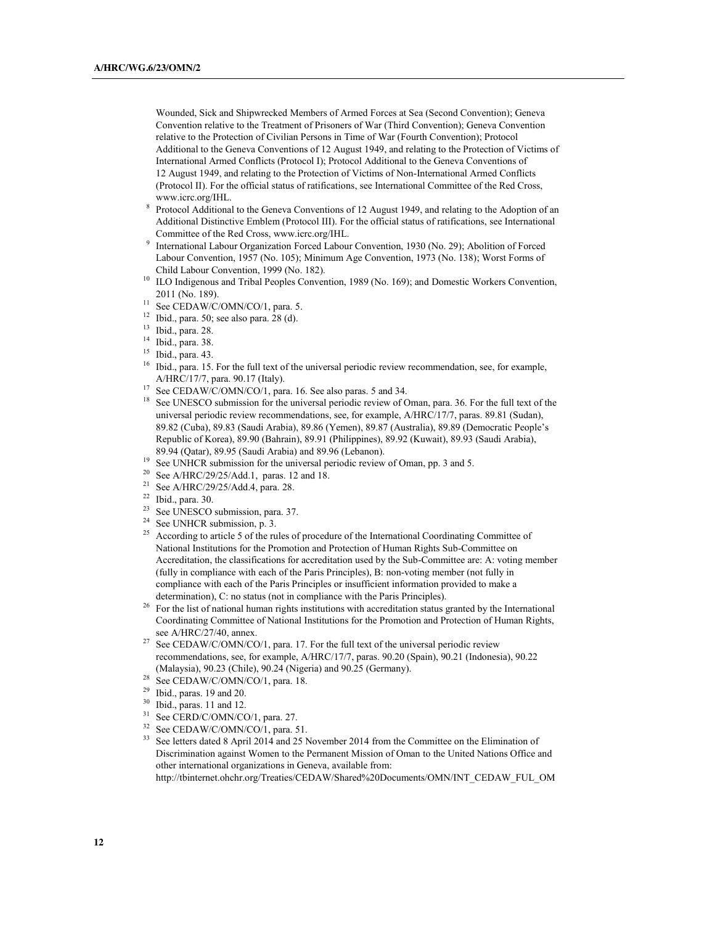Wounded, Sick and Shipwrecked Members of Armed Forces at Sea (Second Convention); Geneva Convention relative to the Treatment of Prisoners of War (Third Convention); Geneva Convention relative to the Protection of Civilian Persons in Time of War (Fourth Convention); Protocol Additional to the Geneva Conventions of 12 August 1949, and relating to the Protection of Victims of International Armed Conflicts (Protocol I); Protocol Additional to the Geneva Conventions of 12 August 1949, and relating to the Protection of Victims of Non-International Armed Conflicts (Protocol II). For the official status of ratifications, see International Committee of the Red Cross, www.icrc.org/IHL.

- <sup>8</sup> Protocol Additional to the Geneva Conventions of 12 August 1949, and relating to the Adoption of an Additional Distinctive Emblem (Protocol III). For the official status of ratifications, see International Committee of the Red Cross, www.icrc.org/IHL.
- <sup>9</sup> International Labour Organization Forced Labour Convention, 1930 (No. 29); Abolition of Forced Labour Convention, 1957 (No. 105); Minimum Age Convention, 1973 (No. 138); Worst Forms of Child Labour Convention, 1999 (No. 182).
- <sup>10</sup> ILO Indigenous and Tribal Peoples Convention, 1989 (No. 169); and Domestic Workers Convention, 2011 (No. 189).<br><sup>11</sup> See CEDAW/C/OMN/CO/1, para. 5.
- 
- <sup>12</sup> Ibid., para. 50; see also para. 28 (d).<br><sup>13</sup> Ibid., para.  $28$
- $\frac{13}{14}$  Ibid., para. 28.
- $14$  Ibid., para. 38.
- <sup>15</sup> Ibid., para. 43.
- <sup>16</sup> Ibid., para. 15. For the full text of the universal periodic review recommendation, see, for example, A/HRC/17/7, para. 90.17 (Italy).<br><sup>17</sup> See CEDAW/C/OMN/CO/1, para. 16. See also paras. 5 and 34.
- 
- <sup>18</sup> See UNESCO submission for the universal periodic review of Oman, para. 36. For the full text of the universal periodic review recommendations, see, for example, A/HRC/17/7, paras. 89.81 (Sudan), 89.82 (Cuba), 89.83 (Saudi Arabia), 89.86 (Yemen), 89.87 (Australia), 89.89 (Democratic People's Republic of Korea), 89.90 (Bahrain), 89.91 (Philippines), 89.92 (Kuwait), 89.93 (Saudi Arabia), 89.94 (Qatar), 89.95 (Saudi Arabia) and 89.96 (Lebanon).
- <sup>19</sup> See UNHCR submission for the universal periodic review of Oman, pp. 3 and 5.<br><sup>20</sup> See A/HRC/29/25/Add.1, paras. 12 and 18.
- 
- <sup>21</sup> See A/HRC/29/25/Add.4, para. 28.
- <sup>22</sup> Ibid., para. 30.
- <sup>23</sup> See UNESCO submission, para. 37.<br><sup>24</sup> See UNHCR submission, p. 3.
- 
- <sup>25</sup> According to article 5 of the rules of procedure of the International Coordinating Committee of National Institutions for the Promotion and Protection of Human Rights Sub-Committee on Accreditation, the classifications for accreditation used by the Sub-Committee are: A: voting member (fully in compliance with each of the Paris Principles), B: non-voting member (not fully in compliance with each of the Paris Principles or insufficient information provided to make a determination), C: no status (not in compliance with the Paris Principles).
- <sup>26</sup> For the list of national human rights institutions with accreditation status granted by the International Coordinating Committee of National Institutions for the Promotion and Protection of Human Rights, see A/HRC/27/40, annex.
- <sup>27</sup> See CEDAW/C/OMN/CO/1, para. 17. For the full text of the universal periodic review recommendations, see, for example, A/HRC/17/7, paras. 90.20 (Spain), 90.21 (Indonesia), 90.22 (Malaysia), 90.23 (Chile), 90.24 (Nigeria) and 90.25 (Germany).
- $^{28}$  See CEDAW/C/OMN/CO/1, para. 18.<br> $^{29}$  Ibid. paras. 19 and 20.
- $^{29}$  Ibid., paras. 19 and 20.<br> $^{30}$  Ibid. paras. 11 and 12.
- $30$  Ibid., paras. 11 and 12.<br> $31$  See CERD/C/OMN/CC
- See CERD/C/OMN/CO/1, para. 27.
- <sup>32</sup> See CEDAW/C/OMN/CO/1, para. 51.<br><sup>33</sup> See letters dated 8, April 2014 and 25.
- See letters dated 8 April 2014 and 25 November 2014 from the Committee on the Elimination of Discrimination against Women to the Permanent Mission of Oman to the United Nations Office and other international organizations in Geneva, available from:

http://tbinternet.ohchr.org/Treaties/CEDAW/Shared%20Documents/OMN/INT\_CEDAW\_FUL\_OM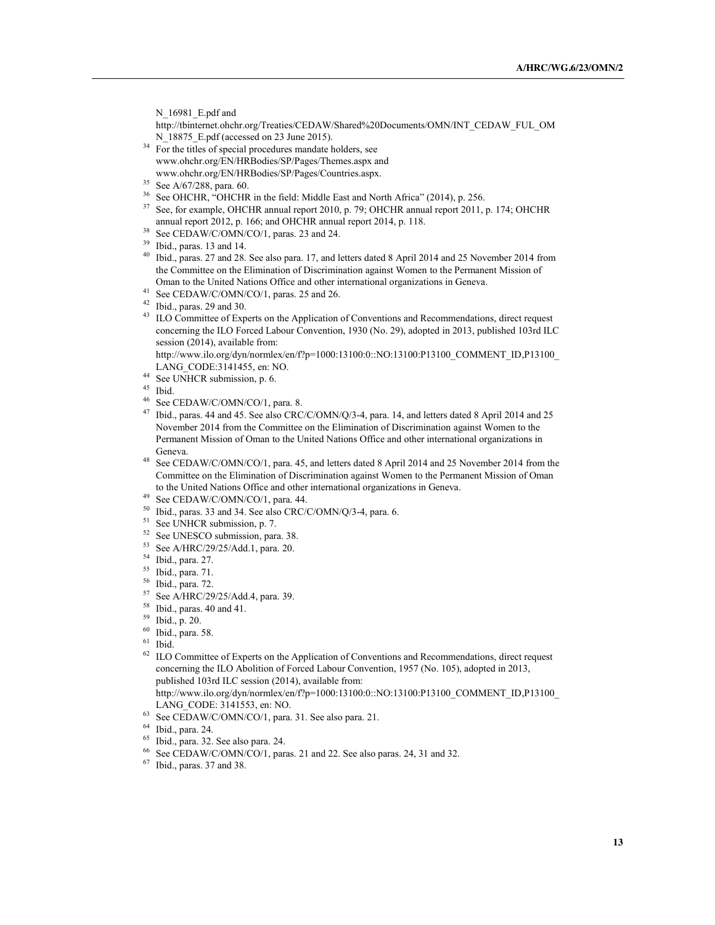N 16981 E.pdf and

http://tbinternet.ohchr.org/Treaties/CEDAW/Shared%20Documents/OMN/INT\_CEDAW\_FUL\_OM N 18875 E.pdf (accessed on 23 June 2015).

- $34$  For the titles of special procedures mandate holders, see www.ohchr.org/EN/HRBodies/SP/Pages/Themes.aspx and www.ohchr.org/EN/HRBodies/SP/Pages/Countries.aspx.
- <sup>35</sup> See A/67/288, para. 60.
- <sup>36</sup> See OHCHR, "OHCHR in the field: Middle East and North Africa" (2014), p. 256.
- <sup>37</sup> See, for example, OHCHR annual report 2010, p. 79; OHCHR annual report 2011, p. 174; OHCHR annual report 2012, p. 166; and OHCHR annual report 2014, p. 118.
- <sup>38</sup> See CEDAW/C/OMN/CO/1, paras. 23 and 24.
- <sup>39</sup> Ibid., paras. 13 and 14.
- <sup>40</sup> Ibid., paras. 27 and 28. See also para. 17, and letters dated 8 April 2014 and 25 November 2014 from the Committee on the Elimination of Discrimination against Women to the Permanent Mission of Oman to the United Nations Office and other international organizations in Geneva.
- <sup>41</sup> See CEDAW/C/OMN/CO/1, paras. 25 and 26.
- $42$  Ibid., paras. 29 and 30.
- <sup>43</sup> ILO Committee of Experts on the Application of Conventions and Recommendations, direct request concerning the ILO Forced Labour Convention, 1930 (No. 29), adopted in 2013, published 103rd ILC session (2014), available from:

http://www.ilo.org/dyn/normlex/en/f?p=1000:13100:0::NO:13100:P13100\_COMMENT\_ID,P13100\_ LANG\_CODE:3141455, en: NO.

- <sup>44</sup> See UNHCR submission, p. 6.<br><sup>45</sup> Ibid
- $\frac{45}{46}$  Ibid.
- $^{46}$  See CEDAW/C/OMN/CO/1, para. 8.<br> $^{47}$  Ibid. paras. 44 and 45. See also CRC
- <sup>47</sup> Ibid., paras. 44 and 45. See also CRC/C/OMN/Q/3-4, para. 14, and letters dated 8 April 2014 and 25 November 2014 from the Committee on the Elimination of Discrimination against Women to the Permanent Mission of Oman to the United Nations Office and other international organizations in Geneva.
- <sup>48</sup> See CEDAW/C/OMN/CO/1, para. 45, and letters dated 8 April 2014 and 25 November 2014 from the Committee on the Elimination of Discrimination against Women to the Permanent Mission of Oman to the United Nations Office and other international organizations in Geneva.
- <sup>49</sup> See CEDAW/C/OMN/CO/1, para. 44.
- <sup>50</sup> Ibid., paras. 33 and 34. See also CRC/C/OMN/Q/3-4, para. 6.<br><sup>51</sup> See UNHCR submission, p. 7.
- 
- $52$  See UNESCO submission, para. 38.
- <sup>53</sup> See A/HRC/29/25/Add.1, para. 20.
- <sup>54</sup> Ibid., para. 27.
- <sup>55</sup> Ibid., para. 71.
- <sup>56</sup> Ibid., para. 72.
- <sup>57</sup> See A/HRC/29/25/Add.4, para. 39.<br><sup>58</sup> Ibid., paras. 40 and 41.<br><sup>59</sup> Ibid., p. 20.<br><sup>60</sup> Ibid., para. 58.<br><sup>61</sup> Ibid., para. 58.
- 
- 
- 
- 
- <sup>62</sup> ILO Committee of Experts on the Application of Conventions and Recommendations, direct request concerning the ILO Abolition of Forced Labour Convention, 1957 (No. 105), adopted in 2013, published 103rd ILC session (2014), available from:

http://www.ilo.org/dyn/normlex/en/f?p=1000:13100:0::NO:13100:P13100\_COMMENT\_ID,P13100\_ LANG\_CODE: 3141553, en: NO.

- <sup>63</sup> See CEDAW/C/OMN/CO/1, para. 31. See also para. 21.
- <sup>64</sup> Ibid., para. 24.
- <sup>65</sup> Ibid., para. 32. See also para. 24.
- <sup>66</sup> See CEDAW/C/OMN/CO/1, paras. 21 and 22. See also paras. 24, 31 and 32.<br><sup>67</sup> Ibid. paras. 37 and 38.
- <sup>67</sup> Ibid., paras. 37 and 38.